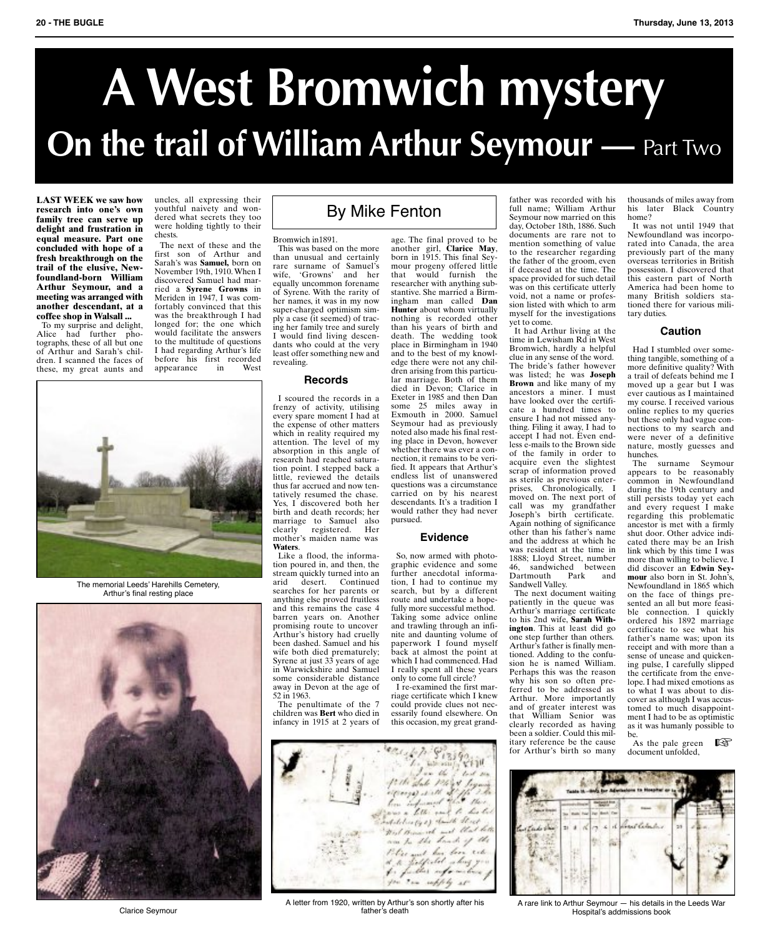# **AWest Bromwich mystery On the trail of William Arthur Seymour —** Part Two

**LAST WEEK we saw how research into one's own family tree can serve up delight and frustration in equal measure. Part one concluded with hope of a fresh breakthrough on the trail of the elusive, Newfoundland-born William Arthur Seymour, and a meeting was arranged with another descendant, at a coffee shop inWalsall ...**

To my surprise and delight, Alice had further photographs, these of all but one of Arthur and Sarah's children. I scanned the faces of these, my great aunts and uncles, all expressing their youthful naivety and wondered what secrets they too were holding tightly to their chests.

The next of these and the first son of Arthur and Sarah's was **Samuel,** born on November 19th, 1910.When I discovered Samuel had married a **Syrene Growns** in Meriden in 1947, I was comfortably convinced that this was the breakthrough I had longed for; the one which would facilitate the answers to the multitude of questions I had regarding Arthur's life before his first recorded<br>appearance in West appearance



The memorial Leeds' Harehills Cemetery, Arthur's final resting place



Clarice Seymour

# By Mike Fenton

Bromwich in1891.

This was based on the more than unusual and certainly rare surname of Samuel's wife, 'Growns' and her equally uncommon forename of Syrene. With the rarity of her names, it was in my now super-charged optimism simply a case (it seemed) of tracing her family tree and surely I would find living descendants who could at the very least offer something new and revealing.

# **Records**

I scoured the records in a frenzy of activity, utilising every spare moment I had at the expense of other matters which in reality required my attention. The level of my absorption in this angle of research had reached saturation point. I stepped back a little, reviewed the details thus far accrued and now tentatively resumed the chase. Yes, I discovered both her birth and death records; her marriage to Samuel also clearly registered. Her mother's maiden name was **Waters**.

Like a flood, the information poured in, and then, the stream quickly turned into an arid desert. Continued searches for her parents or anything else proved fruitless and this remains the case 4 barren years on. Another promising route to uncover Arthur's history had cruelly been dashed. Samuel and his wife both died prematurely; Syrene at just 33 years of age in Warwickshire and Samuel some considerable distance away in Devon at the age of 52 in 1963.

The penultimate of the 7 children was **Bert** who died in infancy in 1915 at2years of

age. The final proved to be another girl, **Clarice May**, born in 1915. This final Seymour progeny offered little that would furnish the researcher with anything substantive. She married a Birmingham man called **Dan Hunter** about whom virtually nothing is recorded other than his years of birth and death. The wedding took place in Birmingham in 1940 and to the best of my knowledge there were not any children arising from this particular marriage. Both of them died in Devon; Clarice in Exeter in 1985 and then Dan some 25 miles away in Exmouth in 2000. Samuel Seymour had as previously noted also made his final resting place in Devon, however whether there was ever a connection, it remains to be verified. It appears that Arthur's endless list of unanswered questions was a circumstance carried on by his nearest descendants. It'satradition I would rather they had never pursued.

## **Evidence**

So, now armed with photographic evidence and some further anecdotal information, I had to continue my search, but by a different route and undertake a hopefully more successful method. Taking some advice online and trawling through an infinite and daunting volume of paperwork I found myself back at almost the point at which I had commenced. Had I really spent all these years only to come full circle?

I re-examined the first marriage certificate which I knew could provide clues not necessarily found elsewhere. On this occasion, my great grand-



A letter from 1920, written by Arthur's son shortly after his father's death

father was recorded with his full name; William Arthur Seymour now married on this day, October 18th, 1886. Such documents are rare not to mention something of value to the researcher regarding the father of the groom, even if deceased at the time. The space provided for such detail was on this certificate utterly void, not a name or profession listed with which to arm myself for the investigations yet to come.

It had Arthur living at the time in Lewisham Rd in West Bromwich, hardly a helpful clue in any sense of the word. The bride's father however was listed; he was **Joseph Brown** and like many of my ancestors a miner. I must have looked over the certificate a hundred times to ensure I had not missed anything. Filing it away, I had to accept I had not. Even endless e-mails to the Brown side of the family in order to acquire even the slightest scrap of information proved as sterile as previous enter-prises, Chronologically, I moved on. The next port of call was my grandfather Joseph's birth certificate. Again nothing of significance other than his father's name and the address at which he was resident at the time in 1888; Lloyd Street, number 46, sandwiched between Dartmouth Park and Sandwell Valley.

The next document waiting patiently in the queue was Arthur's marriage certificate to his 2nd wife, **Sarah Withington**. This at least did go one step further than others. Arthur's father is finally mentioned. Adding to the confusion he is named William. Perhaps this was the reason why his son so often preferred to be addressed as Arthur. More importantly and of greater interest was that William Senior was clearly recorded as having been a soldier. Could this military reference be the cause for Arthur's birth so many

thousands of miles away from his later Black Country home?

It was not until 1949 that Newfoundland was incorporated into Canada, the area previously part of the many overseas territories in British possession. I discovered that this eastern part of North America had been home to many British soldiers stationed there for various military duties.

# **Caution**

Had I stumbled over something tangible, something of a more definitive quality? With a trail of defeats behind me I moved up a gear but I was ever cautious asImaintained my course. I received various online replies to my queries but these only had vague connections to my search and were never of a definitive nature, mostly guesses and hunches.

The surname Seymour appears to be reasonably common in Newfoundland during the 19th century and still persists today yet each and every request I make<br>regarding this problematic ancestor is met with a firmly shut door. Other advice indicated there may be an Irish link which by this time I was more than willing to believe.I did discover an **Edwin Seymour** also born in St. John's, Newfoundland in 1865 which on the face of things presented an all but more feasible connection. I quickly ordered his 1892 marriage certificate to see what his father's name was; upon its receipt and with more than a sense of unease and quickening pulse, I carefully slipped the certificate from the envelope. I had mixed emotions as to what I was about to discover as although I was accustomed to much disappointment I had to be as optimistic as it was humanly possible to be.

As the pale green document unfolded, ☞



A rare link to Arthur Seymour — his details in the Leeds War Hospital's addmissions book